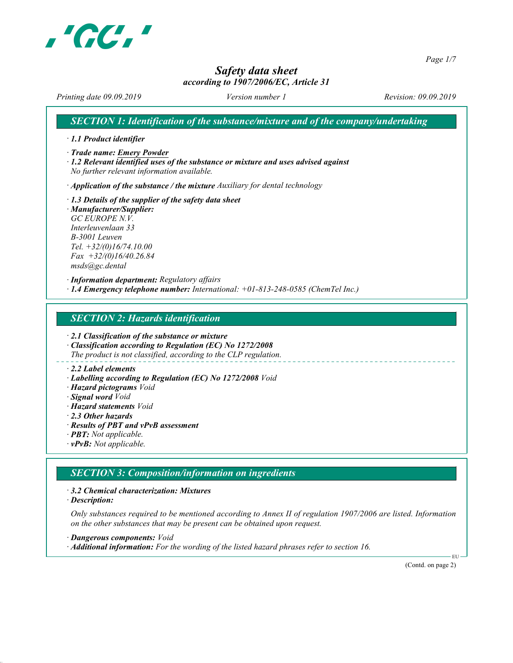

Page 1/7

# Safety data sheet

#### according to 1907/2006/EC, Article 31

Printing date 09.09.2019 Version number 1 Revision: 09.09.2019

SECTION 1: Identification of the substance/mixture and of the company/undertaking

· 1.1 Product identifier

· Trade name: Emery Powder

· 1.2 Relevant identified uses of the substance or mixture and uses advised against No further relevant information available.

 $\cdot$  Application of the substance / the mixture Auxiliary for dental technology

· 1.3 Details of the supplier of the safety data sheet · Manufacturer/Supplier: GC EUROPE N.V. Interleuvenlaan 33 B-3001 Leuven Tel. +32/(0)16/74.10.00  $Fax +32/(0)16/40.26.84$ msds@gc.dental

· Information department: Regulatory affairs  $\cdot$  1.4 Emergency telephone number: International:  $+01-813-248-0585$  (ChemTel Inc.)

SECTION 2: Hazards identification

· 2.1 Classification of the substance or mixture

· Classification according to Regulation (EC) No 1272/2008 The product is not classified, according to the CLP regulation.

#### · 2.2 Label elements

- · Labelling according to Regulation (EC) No 1272/2008 Void
- · Hazard pictograms Void
- · Signal word Void
- · Hazard statements Void
- · 2.3 Other hazards
- · Results of PBT and vPvB assessment
- · PBT: Not applicable.
- $\cdot$  **vPvB:** Not applicable.

### SECTION 3: Composition/information on ingredients

· 3.2 Chemical characterization: Mixtures

· Description:

Only substances required to be mentioned according to Annex II of regulation 1907/2006 are listed. Information on the other substances that may be present can be obtained upon request.

· Dangerous components: Void · Additional information: For the wording of the listed hazard phrases refer to section 16.

(Contd. on page 2)

EU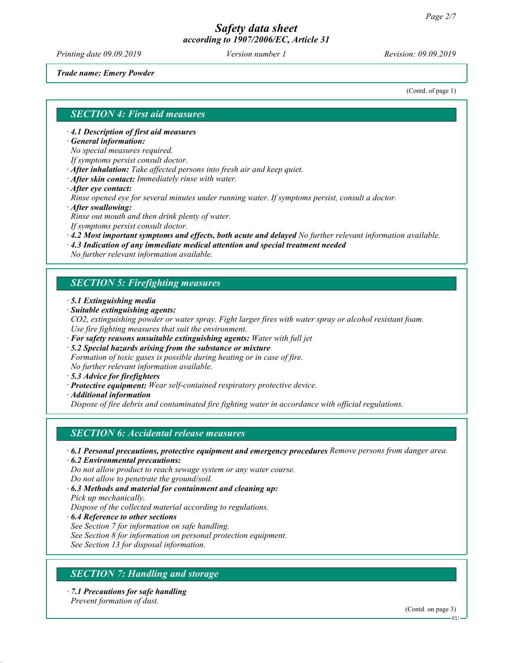Printing date 09.09.2019 Version number 1 Revision: 09.09.2019

Trade name: Emery Powder

(Contd. of page 1)

#### SECTION 4: First aid measures

· 4.1 Description of first aid measures

· General information:

No special measures required.

If symptoms persist consult doctor.

· After inhalation: Take affected persons into fresh air and keep quiet.

- · After skin contact: Immediately rinse with water.
- · After eye contact:

Rinse opened eye for several minutes under running water. If symptoms persist, consult a doctor.

· After swallowing:

Rinse out mouth and then drink plenty of water.

If symptoms persist consult doctor.

· 4.2 Most important symptoms and effects, both acute and delayed No further relevant information available.

· 4.3 Indication of any immediate medical attention and special treatment needed

No further relevant information available.

#### SECTION 5: Firefighting measures

- · 5.1 Extinguishing media
- · Suitable extinguishing agents:

CO2, extinguishing powder or water spray. Fight larger fires with water spray or alcohol resistant foam. Use fire fighting measures that suit the environment.

- $\cdot$  For safety reasons unsuitable extinguishing agents: Water with full jet
- · 5.2 Special hazards arising from the substance or mixture Formation of toxic gases is possible during heating or in case of fire. No further relevant information available.
- 
- · 5.3 Advice for firefighters
- · Protective equipment: Wear self-contained respiratory protective device.
- · Additional information

Dispose of fire debris and contaminated fire fighting water in accordance with official regulations.

#### SECTION 6: Accidental release measures

· 6.1 Personal precautions, protective equipment and emergency procedures Remove persons from danger area.

· 6.2 Environmental precautions: Do not allow product to reach sewage system or any water course.

Do not allow to penetrate the ground/soil.

· 6.3 Methods and material for containment and cleaning up: Pick up mechanically. Dispose of the collected material according to regulations.

· 6.4 Reference to other sections

See Section 7 for information on safe handling.

See Section 8 for information on personal protection equipment.

See Section 13 for disposal information.

### SECTION 7: Handling and storage

· 7.1 Precautions for safe handling Prevent formation of dust.

(Contd. on page 3)

EU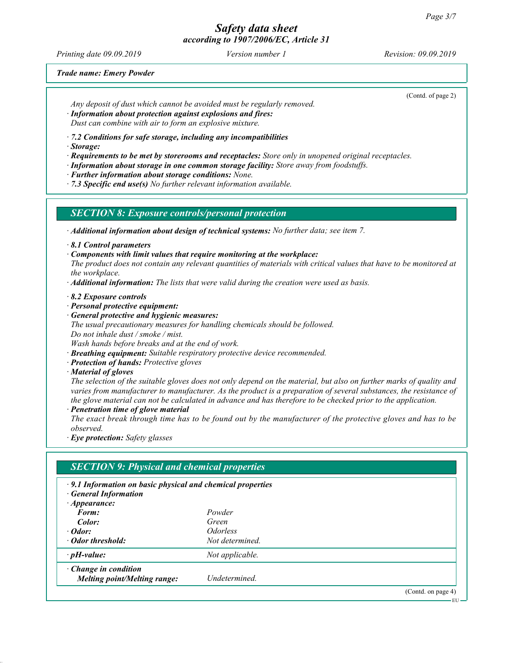Printing date 09.09.2019 **Version number 1** Revision: 09.09.2019 **Revision:** 09.09.2019

(Contd. of page 2)

Trade name: Emery Powder

Any deposit of dust which cannot be avoided must be regularly removed.

· Information about protection against explosions and fires:

Dust can combine with air to form an explosive mixture.

· 7.2 Conditions for safe storage, including any incompatibilities

· Storage:

· Requirements to be met by storerooms and receptacles: Store only in unopened original receptacles.

· Information about storage in one common storage facility: Store away from foodstuffs.

· Further information about storage conditions: None.

 $\cdot$  7.3 Specific end use(s) No further relevant information available.

SECTION 8: Exposure controls/personal protection

· Additional information about design of technical systems: No further data; see item 7.

· 8.1 Control parameters

· Components with limit values that require monitoring at the workplace:

The product does not contain any relevant quantities of materials with critical values that have to be monitored at the workplace.

 $\cdot$  **Additional information:** The lists that were valid during the creation were used as basis.

· 8.2 Exposure controls

- · Personal protective equipment:
- · General protective and hygienic measures:

The usual precautionary measures for handling chemicals should be followed.

Do not inhale dust / smoke / mist.

Wash hands before breaks and at the end of work.

· Breathing equipment: Suitable respiratory protective device recommended.

- · Protection of hands: Protective gloves
- · Material of gloves

The selection of the suitable gloves does not only depend on the material, but also on further marks of quality and varies from manufacturer to manufacturer. As the product is a preparation of several substances, the resistance of the glove material can not be calculated in advance and has therefore to be checked prior to the application.

· Penetration time of glove material

The exact break through time has to be found out by the manufacturer of the protective gloves and has to be observed.

· Eye protection: Safety glasses

| <b>SECTION 9: Physical and chemical properties</b>                                                                     |                               |                    |  |
|------------------------------------------------------------------------------------------------------------------------|-------------------------------|--------------------|--|
| $\cdot$ 9.1 Information on basic physical and chemical properties<br><b>General Information</b><br>$\cdot$ Appearance: |                               |                    |  |
| Form:                                                                                                                  | Powder                        |                    |  |
| Color:                                                                                                                 | Green                         |                    |  |
| $\cdot$ Odor:                                                                                                          | <i><u><b>Odorless</b></u></i> |                    |  |
| • Odor threshold:                                                                                                      | Not determined                |                    |  |
| $\cdot$ pH-value:                                                                                                      | Not applicable.               |                    |  |
| $\cdot$ Change in condition<br><b>Melting point/Melting range:</b>                                                     | Undetermined.                 |                    |  |
|                                                                                                                        |                               | (Contd. on page 4) |  |
|                                                                                                                        |                               | - FII –            |  |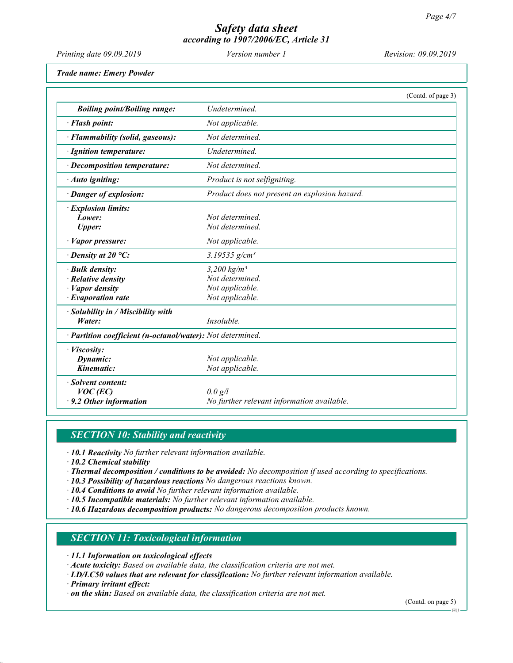| Printing date 09.09.2019                                                                          | Version number 1                                                                   | Revision: 09.09.2019 |
|---------------------------------------------------------------------------------------------------|------------------------------------------------------------------------------------|----------------------|
| <b>Trade name: Emery Powder</b>                                                                   |                                                                                    |                      |
|                                                                                                   |                                                                                    | (Contd. of page 3)   |
| <b>Boiling point/Boiling range:</b>                                                               | Undetermined.                                                                      |                      |
| · Flash point:                                                                                    | Not applicable.                                                                    |                      |
| · Flammability (solid, gaseous):                                                                  | Not determined.                                                                    |                      |
| · Ignition temperature:                                                                           | Undetermined.                                                                      |                      |
| · Decomposition temperature:                                                                      | Not determined.                                                                    |                      |
| · Auto igniting:                                                                                  | Product is not selfigniting.                                                       |                      |
| · Danger of explosion:                                                                            | Product does not present an explosion hazard.                                      |                      |
| · Explosion limits:<br>Lower:<br><b>Upper:</b>                                                    | Not determined.<br>Not determined.                                                 |                      |
| · Vapor pressure:                                                                                 | Not applicable.                                                                    |                      |
| $\cdot$ Density at 20 °C:                                                                         | 3.19535 $g/cm^{3}$                                                                 |                      |
| · Bulk density:<br>· Relative density<br>$\cdot$ <i>Vapor density</i><br>$\cdot$ Evaporation rate | $3,200$ kg/m <sup>3</sup><br>Not determined.<br>Not applicable.<br>Not applicable. |                      |
| · Solubility in / Miscibility with<br>Water:                                                      | Insoluble.                                                                         |                      |
| · Partition coefficient (n-octanol/water): Not determined.                                        |                                                                                    |                      |
| · Viscosity:<br>Dynamic:<br>Kinematic:                                                            | Not applicable.<br>Not applicable.                                                 |                      |
| · Solvent content:<br>$VOC$ (EC)<br>$\cdot$ 9.2 Other information                                 | 0.0 g/l<br>No further relevant information available.                              |                      |

# **SECTION 10: Stability and reactivity**

· 10.1 Reactivity No further relevant information available.

· 10.2 Chemical stability

· Thermal decomposition / conditions to be avoided: No decomposition if used according to specifications.

- · 10.3 Possibility of hazardous reactions No dangerous reactions known.
- $\cdot$  10.4 Conditions to avoid No further relevant information available.

· 10.5 Incompatible materials: No further relevant information available.

· 10.6 Hazardous decomposition products: No dangerous decomposition products known.

#### SECTION 11: Toxicological information

· 11.1 Information on toxicological effects

· Acute toxicity: Based on available data, the classification criteria are not met.

- · LD/LC50 values that are relevant for classification: No further relevant information available.
- · Primary irritant effect:

· on the skin: Based on available data, the classification criteria are not met.

(Contd. on page 5)

EU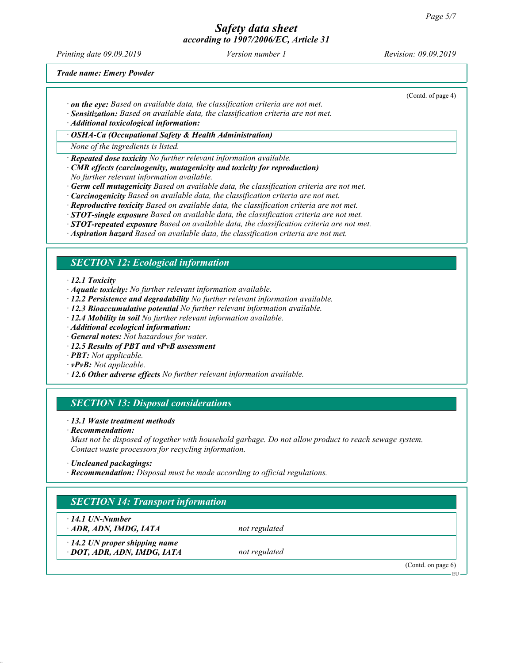Printing date 09.09.2019 **Version number 1** Revision: 09.09.2019 **Revision:** 09.09.2019

(Contd. of page 4)

Trade name: Emery Powder

- $\cdot$  on the eye: Based on available data, the classification criteria are not met.
- · Sensitization: Based on available data, the classification criteria are not met.

· Additional toxicological information:

· OSHA-Ca (Occupational Safety & Health Administration)

None of the ingredients is listed.

· Repeated dose toxicity No further relevant information available.

- · CMR effects (carcinogenity, mutagenicity and toxicity for reproduction) No further relevant information available.
- $\cdot$  Germ cell mutagenicity Based on available data, the classification criteria are not met.
- · Carcinogenicity Based on available data, the classification criteria are not met.
- $\cdot$  **Reproductive toxicity** Based on available data, the classification criteria are not met.
- $\cdot$  **STOT-single exposure** Based on available data, the classification criteria are not met.
- $\cdot$  **STOT-repeated exposure** Based on available data, the classification criteria are not met.
- · Aspiration hazard Based on available data, the classification criteria are not met.

#### SECTION 12: Ecological information

· 12.1 Toxicity

- · Aquatic toxicity: No further relevant information available.
- · 12.2 Persistence and degradability No further relevant information available.
- · 12.3 Bioaccumulative potential No further relevant information available.
- · 12.4 Mobility in soil No further relevant information available.
- · Additional ecological information:
- · General notes: Not hazardous for water.
- · 12.5 Results of PBT and vPvB assessment
- · PBT: Not applicable.
- $\cdot$  **vPvB:** Not applicable.
- · 12.6 Other adverse effects No further relevant information available.

#### SECTION 13: Disposal considerations

#### · 13.1 Waste treatment methods

· Recommendation:

Must not be disposed of together with household garbage. Do not allow product to reach sewage system. Contact waste processors for recycling information.

· Recommendation: Disposal must be made according to official regulations.

## SECTION 14: Transport information

· 14.1 UN-Number

 $\cdot$  ADR, ADN, IMDG, IATA not regulated

· 14.2 UN proper shipping name  $\cdot$  DOT, ADR, ADN, IMDG, IATA not regulated

(Contd. on page 6)

 $-$ EU

<sup>·</sup> Uncleaned packagings: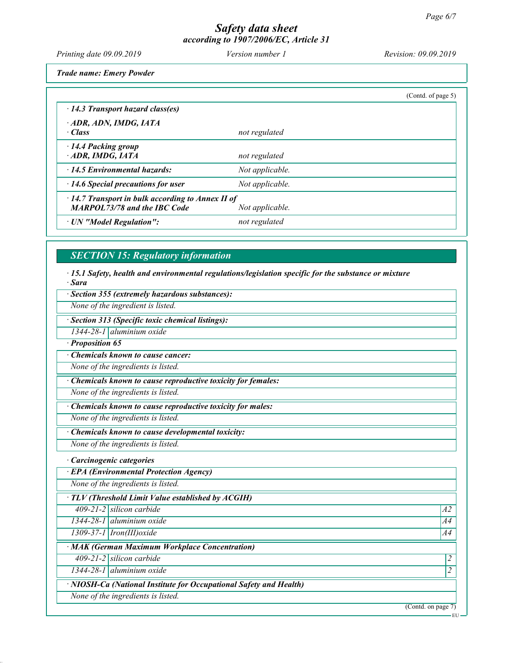Printing date 09.09.2019 Version number 1 Revision: 09.09.2019

Trade name: Emery Powder

|                                                                                                |                 | (Cond. of page 5) |
|------------------------------------------------------------------------------------------------|-----------------|-------------------|
| $\cdot$ 14.3 Transport hazard class(es)                                                        |                 |                   |
| ADR, ADN, IMDG, IATA<br>· Class                                                                | not regulated   |                   |
| $\cdot$ 14.4 Packing group<br>ADR, IMDG, IATA                                                  | not regulated   |                   |
| $\cdot$ 14.5 Environmental hazards:                                                            | Not applicable. |                   |
| $\cdot$ 14.6 Special precautions for user                                                      | Not applicable. |                   |
| $\cdot$ 14.7 Transport in bulk according to Annex II of<br><b>MARPOL73/78 and the IBC Code</b> | Not applicable. |                   |
| · UN "Model Regulation":                                                                       | not regulated   |                   |

#### SECTION 15: Regulatory information

· 15.1 Safety, health and environmental regulations/legislation specific for the substance or mixture · Sara

· Section 355 (extremely hazardous substances):

None of the ingredient is listed.

· Section 313 (Specific toxic chemical listings):

1344-28-1 aluminium oxide

· Proposition 65

· Chemicals known to cause cancer:

None of the ingredients is listed.

· Chemicals known to cause reproductive toxicity for females:

None of the ingredients is listed.

· Chemicals known to cause reproductive toxicity for males:

None of the ingredients is listed.

Chemicals known to cause developmental toxicity:

None of the ingredients is listed.

· Carcinogenic categories

· EPA (Environmental Protection Agency)

None of the ingredients is listed.

· TLV (Threshold Limit Value established by ACGIH)

 $409-21-2$  silicon carbide  $A2$ 

1344-28-1 aluminium oxide A4

 $1309-37-1$  | Iron(III)oxide  $A4$ 

· MAK (German Maximum Workplace Concentration)

 $409-21-2$  silicon carbide  $\vert$ 

1344-28-1 aluminium oxide 2

· NIOSH-Ca (National Institute for Occupational Safety and Health)

None of the ingredients is listed.

(Contd. on page 7)

EU